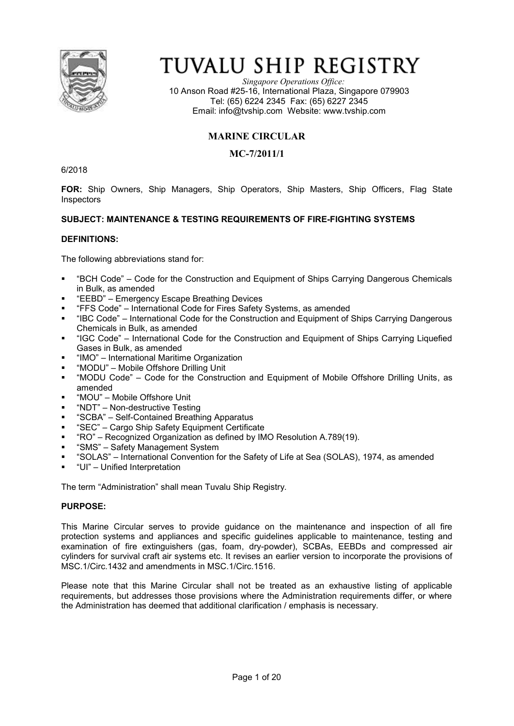

# TUVALU SHIP REGISTRY

*Singapore Operations Office:* 10 Anson Road #25-16, International Plaza, Singapore 079903 Tel: (65) 6224 2345 Fax: (65) 6227 2345 Email: info@tvship.com Website: www.tvship.com

# **MARINE CIRCULAR**

# **MC-7/2011/1**

6/2018

**FOR:** Ship Owners, Ship Managers, Ship Operators, Ship Masters, Ship Officers, Flag State Inspectors

## **SUBJECT: MAINTENANCE & TESTING REQUIREMENTS OF FIRE-FIGHTING SYSTEMS**

#### **DEFINITIONS:**

The following abbreviations stand for:

- § "BCH Code" Code for the Construction and Equipment of Ships Carrying Dangerous Chemicals in Bulk, as amended
- § "EEBD" Emergency Escape Breathing Devices
- § "FFS Code" International Code for Fires Safety Systems, as amended
- § "IBC Code" International Code for the Construction and Equipment of Ships Carrying Dangerous Chemicals in Bulk, as amended
- § "IGC Code" International Code for the Construction and Equipment of Ships Carrying Liquefied Gases in Bulk, as amended
- "IMO" International Maritime Organization
- § "MODU" Mobile Offshore Drilling Unit
- § "MODU Code" Code for the Construction and Equipment of Mobile Offshore Drilling Units, as amended
- § "MOU" Mobile Offshore Unit
- "NDT" Non-destructive Testing
- "SCBA" Self-Contained Breathing Apparatus
- "SEC" Cargo Ship Safety Equipment Certificate
- "RO" Recognized Organization as defined by IMO Resolution A.789(19).
- "SMS" Safety Management System
- "SOLAS" International Convention for the Safety of Life at Sea (SOLAS), 1974, as amended
- § "UI" Unified Interpretation

The term "Administration" shall mean Tuvalu Ship Registry.

#### **PURPOSE:**

This Marine Circular serves to provide guidance on the maintenance and inspection of all fire protection systems and appliances and specific guidelines applicable to maintenance, testing and examination of fire extinguishers (gas, foam, dry-powder), SCBAs, EEBDs and compressed air cylinders for survival craft air systems etc. It revises an earlier version to incorporate the provisions of MSC.1/Circ.1432 and amendments in MSC.1/Circ.1516.

Please note that this Marine Circular shall not be treated as an exhaustive listing of applicable requirements, but addresses those provisions where the Administration requirements differ, or where the Administration has deemed that additional clarification / emphasis is necessary.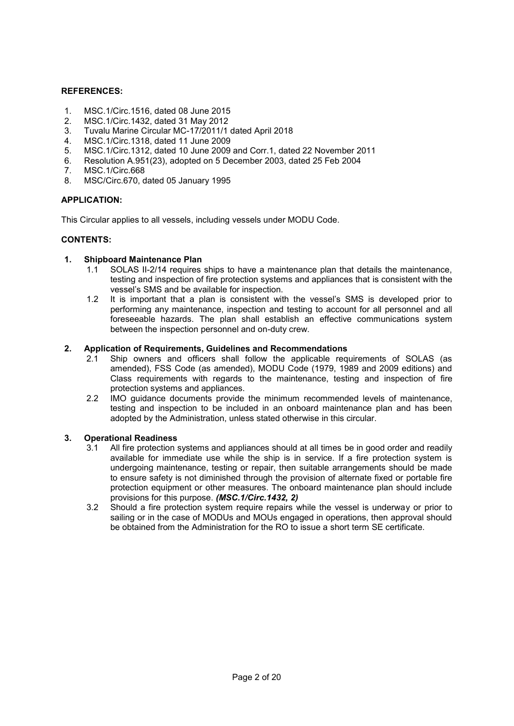#### **REFERENCES:**

- 1. MSC.1/Circ.1516, dated 08 June 2015
- 2. MSC.1/Circ.1432, dated 31 May 2012
- 3. Tuvalu Marine Circular MC-17/2011/1 dated April 2018
- 4. MSC.1/Circ.1318, dated 11 June 2009
- 5. MSC.1/Circ.1312, dated 10 June 2009 and Corr.1, dated 22 November 2011
- 6. Resolution A.951(23), adopted on 5 December 2003, dated 25 Feb 2004
- MSC.1/Circ.668
- 8. MSC/Circ.670, dated 05 January 1995

#### **APPLICATION:**

This Circular applies to all vessels, including vessels under MODU Code.

#### **CONTENTS:**

#### **1. Shipboard Maintenance Plan**

- 1.1 SOLAS II-2/14 requires ships to have a maintenance plan that details the maintenance, testing and inspection of fire protection systems and appliances that is consistent with the vessel's SMS and be available for inspection.
- 1.2 It is important that a plan is consistent with the vessel's SMS is developed prior to performing any maintenance, inspection and testing to account for all personnel and all foreseeable hazards. The plan shall establish an effective communications system between the inspection personnel and on-duty crew.

#### **2. Application of Requirements, Guidelines and Recommendations**

- 2.1 Ship owners and officers shall follow the applicable requirements of SOLAS (as amended), FSS Code (as amended), MODU Code (1979, 1989 and 2009 editions) and Class requirements with regards to the maintenance, testing and inspection of fire protection systems and appliances.
- 2.2 IMO guidance documents provide the minimum recommended levels of maintenance, testing and inspection to be included in an onboard maintenance plan and has been adopted by the Administration, unless stated otherwise in this circular.

#### **3. Operational Readiness**

- 3.1 All fire protection systems and appliances should at all times be in good order and readily available for immediate use while the ship is in service. If a fire protection system is undergoing maintenance, testing or repair, then suitable arrangements should be made to ensure safety is not diminished through the provision of alternate fixed or portable fire protection equipment or other measures. The onboard maintenance plan should include provisions for this purpose. *(MSC.1/Circ.1432, 2)*
- 3.2 Should a fire protection system require repairs while the vessel is underway or prior to sailing or in the case of MODUs and MOUs engaged in operations, then approval should be obtained from the Administration for the RO to issue a short term SE certificate.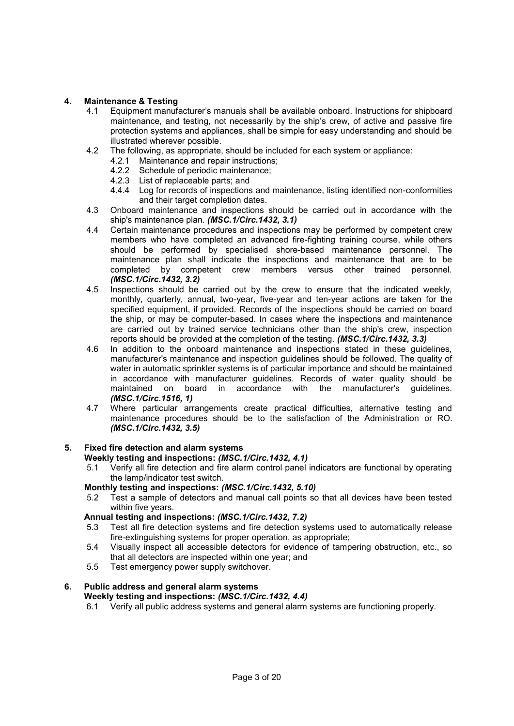# **4. Maintenance & Testing**

- 4.1 Equipment manufacturer's manuals shall be available onboard. Instructions for shipboard maintenance, and testing, not necessarily by the ship's crew, of active and passive fire protection systems and appliances, shall be simple for easy understanding and should be illustrated wherever possible.
- 4.2 The following, as appropriate, should be included for each system or appliance:
	- 4.2.1 Maintenance and repair instructions;
	- 4.2.2 Schedule of periodic maintenance;
	- 4.2.3 List of replaceable parts; and
	- 4.4.4 Log for records of inspections and maintenance, listing identified non-conformities and their target completion dates.
- 4.3 Onboard maintenance and inspections should be carried out in accordance with the ship's maintenance plan. *(MSC.1/Circ.1432, 3.1)*
- 4.4 Certain maintenance procedures and inspections may be performed by competent crew members who have completed an advanced fire-fighting training course, while others should be performed by specialised shore-based maintenance personnel. The maintenance plan shall indicate the inspections and maintenance that are to be completed by competent crew members versus other trained personnel. *(MSC.1/Circ.1432, 3.2)*
- 4.5 Inspections should be carried out by the crew to ensure that the indicated weekly, monthly, quarterly, annual, two-year, five-year and ten-year actions are taken for the specified equipment, if provided. Records of the inspections should be carried on board the ship, or may be computer-based. In cases where the inspections and maintenance are carried out by trained service technicians other than the ship's crew, inspection reports should be provided at the completion of the testing. *(MSC.1/Circ.1432, 3.3)*
- 4.6 In addition to the onboard maintenance and inspections stated in these guidelines, manufacturer's maintenance and inspection guidelines should be followed. The quality of water in automatic sprinkler systems is of particular importance and should be maintained in accordance with manufacturer guidelines. Records of water quality should be maintained on board in accordance with the manufacturer's guidelines. *(MSC.1/Circ.1516, 1)*
- 4.7 Where particular arrangements create practical difficulties, alternative testing and maintenance procedures should be to the satisfaction of the Administration or RO. *(MSC.1/Circ.1432, 3.5)*

#### **5. Fixed fire detection and alarm systems**

#### **Weekly testing and inspections:** *(MSC.1/Circ.1432, 4.1)*

5.1 Verify all fire detection and fire alarm control panel indicators are functional by operating the lamp/indicator test switch.

#### **Monthly testing and inspections:** *(MSC.1/Circ.1432, 5.10)*

5.2 Test a sample of detectors and manual call points so that all devices have been tested within five years.

#### **Annual testing and inspections:** *(MSC.1/Circ.1432, 7.2)*

- 5.3 Test all fire detection systems and fire detection systems used to automatically release fire-extinguishing systems for proper operation, as appropriate;
- 5.4 Visually inspect all accessible detectors for evidence of tampering obstruction, etc., so that all detectors are inspected within one year; and
- 5.5 Test emergency power supply switchover.

## **6. Public address and general alarm systems Weekly testing and inspections:** *(MSC.1/Circ.1432, 4.4)*

6.1 Verify all public address systems and general alarm systems are functioning properly.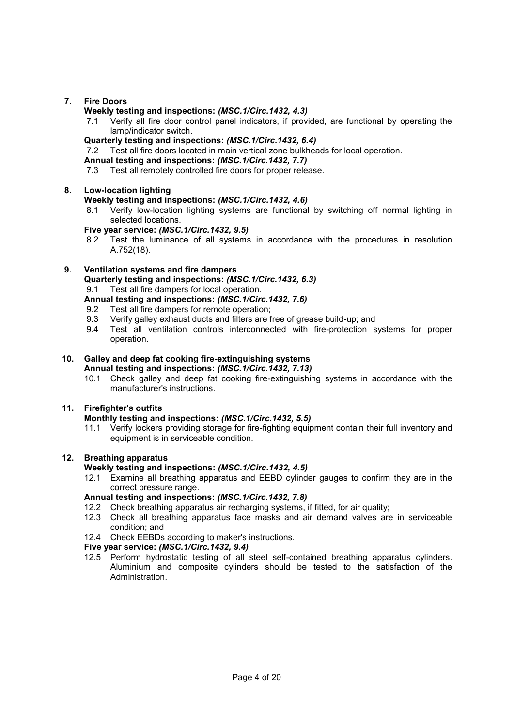## **7. Fire Doors**

#### **Weekly testing and inspections:** *(MSC.1/Circ.1432, 4.3)*

- 7.1 Verify all fire door control panel indicators, if provided, are functional by operating the lamp/indicator switch.
- **Quarterly testing and inspections:** *(MSC.1/Circ.1432, 6.4)*
- 7.2 Test all fire doors located in main vertical zone bulkheads for local operation.

# **Annual testing and inspections:** *(MSC.1/Circ.1432, 7.7)*

7.3 Test all remotely controlled fire doors for proper release.

#### **8. Low-location lighting**

#### **Weekly testing and inspections:** *(MSC.1/Circ.1432, 4.6)*

8.1 Verify low-location lighting systems are functional by switching off normal lighting in selected locations.

#### **Five year service:** *(MSC.1/Circ.1432, 9.5)*

8.2 Test the luminance of all systems in accordance with the procedures in resolution A.752(18).

# **9. Ventilation systems and fire dampers**

**Quarterly testing and inspections:** *(MSC.1/Circ.1432, 6.3)*

9.1 Test all fire dampers for local operation.

- **Annual testing and inspections:** *(MSC.1/Circ.1432, 7.6)*
- 9.2 Test all fire dampers for remote operation;
- 9.3 Verify galley exhaust ducts and filters are free of grease build-up; and
- 9.4 Test all ventilation controls interconnected with fire-protection systems for proper operation.

#### **10. Galley and deep fat cooking fire-extinguishing systems Annual testing and inspections:** *(MSC.1/Circ.1432, 7.13)*

10.1 Check galley and deep fat cooking fire-extinguishing systems in accordance with the manufacturer's instructions.

## **11. Firefighter's outfits**

#### **Monthly testing and inspections:** *(MSC.1/Circ.1432, 5.5)*

11.1 Verify lockers providing storage for fire-fighting equipment contain their full inventory and equipment is in serviceable condition.

#### **12. Breathing apparatus**

#### **Weekly testing and inspections:** *(MSC.1/Circ.1432, 4.5)*

12.1 Examine all breathing apparatus and EEBD cylinder gauges to confirm they are in the correct pressure range.

# **Annual testing and inspections:** *(MSC.1/Circ.1432, 7.8)*

- 12.2 Check breathing apparatus air recharging systems, if fitted, for air quality;
- 12.3 Check all breathing apparatus face masks and air demand valves are in serviceable condition; and
- 12.4 Check EEBDs according to maker's instructions.

#### **Five year service:** *(MSC.1/Circ.1432, 9.4)*

12.5 Perform hydrostatic testing of all steel self-contained breathing apparatus cylinders. Aluminium and composite cylinders should be tested to the satisfaction of the Administration.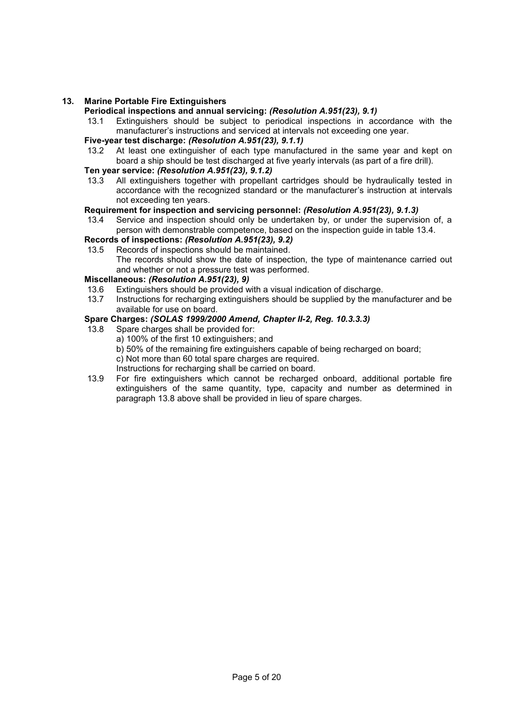#### **13. Marine Portable Fire Extinguishers**

#### **Periodical inspections and annual servicing:** *(Resolution A.951(23), 9.1)*

13.1 Extinguishers should be subject to periodical inspections in accordance with the manufacturer's instructions and serviced at intervals not exceeding one year.

#### **Five-year test discharge:** *(Resolution A.951(23), 9.1.1)*

13.2 At least one extinguisher of each type manufactured in the same year and kept on board a ship should be test discharged at five yearly intervals (as part of a fire drill).

# **Ten year service:** *(Resolution A.951(23), 9.1.2)*

All extinguishers together with propellant cartridges should be hydraulically tested in accordance with the recognized standard or the manufacturer's instruction at intervals not exceeding ten years.

#### **Requirement for inspection and servicing personnel:** *(Resolution A.951(23), 9.1.3)*

13.4 Service and inspection should only be undertaken by, or under the supervision of, a person with demonstrable competence, based on the inspection guide in table 13.4.

## **Records of inspections:** *(Resolution A.951(23), 9.2)*

13.5 Records of inspections should be maintained. The records should show the date of inspection, the type of maintenance carried out and whether or not a pressure test was performed.

#### **Miscellaneous:** *(Resolution A.951(23), 9)*

- 13.6 Extinguishers should be provided with a visual indication of discharge.<br>13.7 Instructions for recharging extinguishers should be supplied by the ma
- Instructions for recharging extinguishers should be supplied by the manufacturer and be available for use on board.

#### **Spare Charges:** *(SOLAS 1999/2000 Amend, Chapter II-2, Reg. 10.3.3.3)*

- 13.8 Spare charges shall be provided for:
	- a) 100% of the first 10 extinguishers; and
	- b) 50% of the remaining fire extinguishers capable of being recharged on board;
	- c) Not more than 60 total spare charges are required.
	- Instructions for recharging shall be carried on board.
- 13.9 For fire extinguishers which cannot be recharged onboard, additional portable fire extinguishers of the same quantity, type, capacity and number as determined in paragraph 13.8 above shall be provided in lieu of spare charges.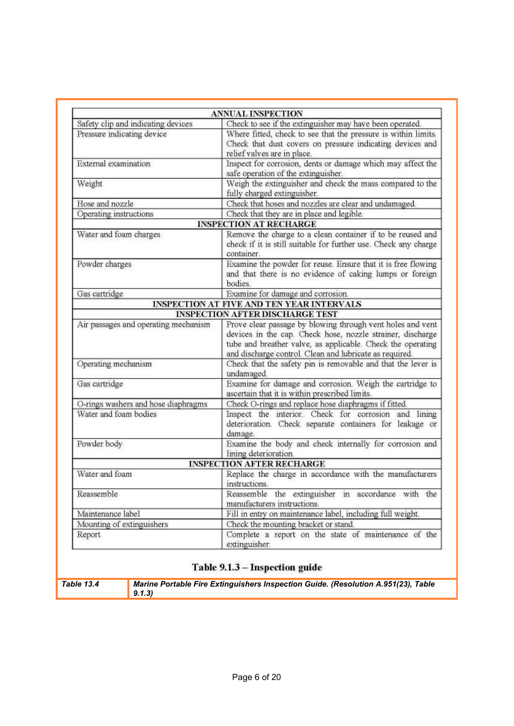|                                      | <b>ANNUAL INSPECTION</b>                                        |  |  |  |
|--------------------------------------|-----------------------------------------------------------------|--|--|--|
| Safety clip and indicating devices   | Check to see if the extinguisher may have been operated.        |  |  |  |
| Pressure indicating device           | Where fitted, check to see that the pressure is within limits.  |  |  |  |
|                                      | Check that dust covers on pressure indicating devices and       |  |  |  |
|                                      | relief valves are in place.                                     |  |  |  |
| External examination                 | Inspect for corrosion, dents or damage which may affect the     |  |  |  |
|                                      | safe operation of the extinguisher.                             |  |  |  |
| Weight                               | Weigh the extinguisher and check the mass compared to the       |  |  |  |
|                                      | fully charged extinguisher.                                     |  |  |  |
| Hose and nozzle                      | Check that hoses and nozzles are clear and undamaged.           |  |  |  |
| Operating instructions               | Check that they are in place and legible.                       |  |  |  |
|                                      | <b>INSPECTION AT RECHARGE</b>                                   |  |  |  |
| Water and foam charges               | Remove the charge to a clean container if to be reused and      |  |  |  |
|                                      | check if it is still suitable for further use. Check any charge |  |  |  |
|                                      | container.                                                      |  |  |  |
| Powder charges                       | Examine the powder for reuse. Ensure that it is free flowing    |  |  |  |
|                                      | and that there is no evidence of caking lumps or foreign        |  |  |  |
|                                      | bodies.                                                         |  |  |  |
| Gas cartridge                        | Examine for damage and corrosion.                               |  |  |  |
|                                      | INSPECTION AT FIVE AND TEN YEAR INTERVALS                       |  |  |  |
|                                      | <b>INSPECTION AFTER DISCHARGE TEST</b>                          |  |  |  |
| Air passages and operating mechanism | Prove clear passage by blowing through vent holes and vent      |  |  |  |
|                                      | devices in the cap. Check hose, nozzle strainer, discharge      |  |  |  |
|                                      | tube and breather valve, as applicable. Check the operating     |  |  |  |
|                                      | and discharge control. Clean and lubricate as required.         |  |  |  |
| Operating mechanism                  | Check that the safety pin is removable and that the lever is    |  |  |  |
|                                      | undamaged.                                                      |  |  |  |
| Gas cartridge                        | Examine for damage and corrosion. Weigh the cartridge to        |  |  |  |
|                                      | ascertain that it is within prescribed limits.                  |  |  |  |
| O-rings washers and hose diaphragms  | Check O-rings and replace hose diaphragms if fitted.            |  |  |  |
| Water and foam bodies                | Inspect the interior. Check for corrosion and lining            |  |  |  |
|                                      | deterioration. Check separate containers for leakage or         |  |  |  |
|                                      | damage.                                                         |  |  |  |
| Powder body                          | Examine the body and check internally for corrosion and         |  |  |  |
|                                      | lining deterioration.                                           |  |  |  |
|                                      | <b>INSPECTION AFTER RECHARGE</b>                                |  |  |  |
| Water and foam                       | Replace the charge in accordance with the manufacturers         |  |  |  |
|                                      | instructions.                                                   |  |  |  |
| Reassemble                           | Reassemble the extinguisher in accordance with the              |  |  |  |
|                                      | manufacturers instructions.                                     |  |  |  |
| Maintenance label                    | Fill in entry on maintenance label, including full weight.      |  |  |  |
| Mounting of extinguishers            | Check the mounting bracket or stand.                            |  |  |  |
| Report                               | Complete a report on the state of maintenance of the            |  |  |  |
|                                      |                                                                 |  |  |  |
|                                      | extinguisher.                                                   |  |  |  |

# Table 9.1.3 - Inspection guide

*Table 13.4 Marine Portable Fire Extinguishers Inspection Guide. (Resolution A.951(23), Table 9.1.3)*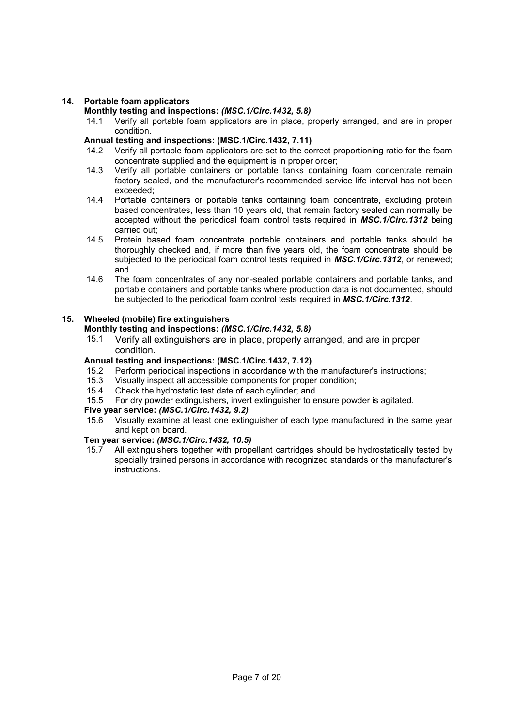#### **14. Portable foam applicators**

#### **Monthly testing and inspections:** *(MSC.1/Circ.1432, 5.8)*

14.1 Verify all portable foam applicators are in place, properly arranged, and are in proper condition.

#### **Annual testing and inspections: (MSC.1/Circ.1432, 7.11)**

- 14.2 Verify all portable foam applicators are set to the correct proportioning ratio for the foam concentrate supplied and the equipment is in proper order;
- 14.3 Verify all portable containers or portable tanks containing foam concentrate remain factory sealed, and the manufacturer's recommended service life interval has not been exceeded;
- 14.4 Portable containers or portable tanks containing foam concentrate, excluding protein based concentrates, less than 10 years old, that remain factory sealed can normally be accepted without the periodical foam control tests required in *MSC.1/Circ.1312* being carried out;
- 14.5 Protein based foam concentrate portable containers and portable tanks should be thoroughly checked and, if more than five years old, the foam concentrate should be subjected to the periodical foam control tests required in *MSC.1/Circ.1312*, or renewed; and
- 14.6 The foam concentrates of any non-sealed portable containers and portable tanks, and portable containers and portable tanks where production data is not documented, should be subjected to the periodical foam control tests required in *MSC.1/Circ.1312*.

#### **15. Wheeled (mobile) fire extinguishers**

# **Monthly testing and inspections:** *(MSC.1/Circ.1432, 5.8)*

15.1 Verify all extinguishers are in place, properly arranged, and are in proper condition.

#### **Annual testing and inspections: (MSC.1/Circ.1432, 7.12)**

- 15.2 Perform periodical inspections in accordance with the manufacturer's instructions;
- 15.3 Visually inspect all accessible components for proper condition;<br>15.4 Check the hydrostatic test date of each cylinder: and
- 15.4 Check the hydrostatic test date of each cylinder; and<br>15.5 For dry powder extinguishers, invert extinguisher to e
- For dry powder extinguishers, invert extinguisher to ensure powder is agitated.

# **Five year service:** *(MSC.1/Circ.1432, 9.2)*

15.6 Visually examine at least one extinguisher of each type manufactured in the same year and kept on board.

#### **Ten year service:** *(MSC.1/Circ.1432, 10.5)*

15.7 All extinguishers together with propellant cartridges should be hydrostatically tested by specially trained persons in accordance with recognized standards or the manufacturer's instructions.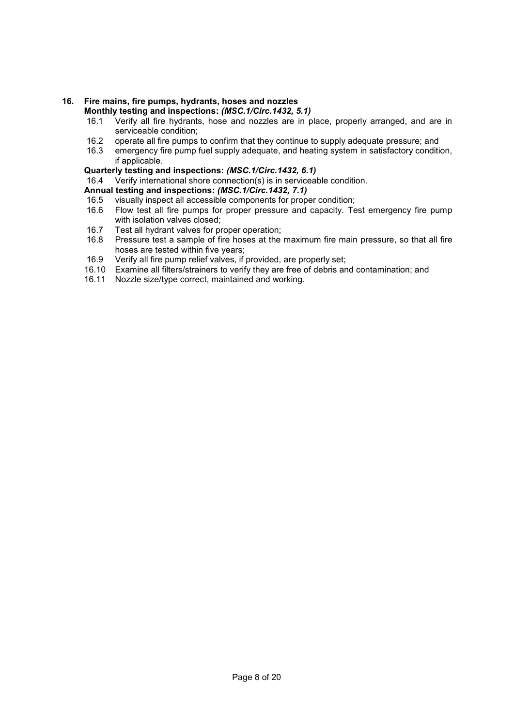#### **16. Fire mains, fire pumps, hydrants, hoses and nozzles Monthly testing and inspections:** *(MSC.1/Circ.1432, 5.1)*

- 16.1 Verify all fire hydrants, hose and nozzles are in place, properly arranged, and are in serviceable condition;
- 16.2 operate all fire pumps to confirm that they continue to supply adequate pressure; and
- 16.3 emergency fire pump fuel supply adequate, and heating system in satisfactory condition, if applicable.

## **Quarterly testing and inspections:** *(MSC.1/Circ.1432, 6.1)*

16.4 Verify international shore connection(s) is in serviceable condition.

# **Annual testing and inspections:** *(MSC.1/Circ.1432, 7.1)*

- 16.5 visually inspect all accessible components for proper condition;
- 16.6 Flow test all fire pumps for proper pressure and capacity. Test emergency fire pump with isolation valves closed;
- 16.7 Test all hydrant valves for proper operation;
- 16.8 Pressure test a sample of fire hoses at the maximum fire main pressure, so that all fire hoses are tested within five years;
- 16.9 Verify all fire pump relief valves, if provided, are properly set;
- 16.10 Examine all filters/strainers to verify they are free of debris and contamination; and
- 16.11 Nozzle size/type correct, maintained and working.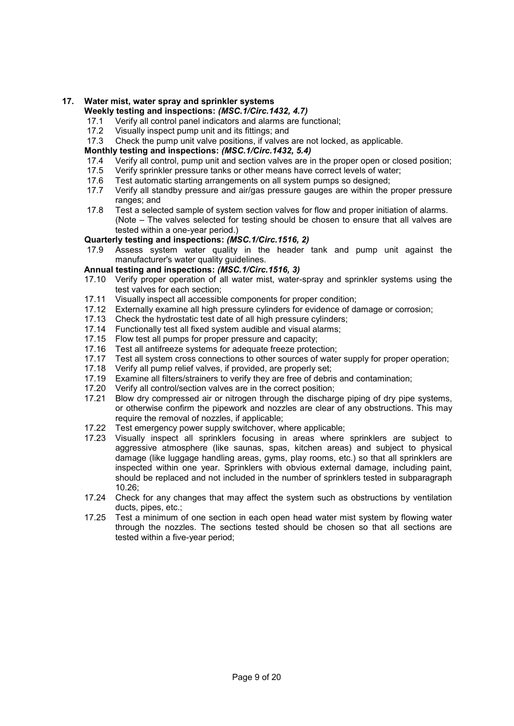# **17. Water mist, water spray and sprinkler systems**

# **Weekly testing and inspections:** *(MSC.1/Circ.1432, 4.7)*

- 17.1 Verify all control panel indicators and alarms are functional;<br>17.2 Visually inspect pump unit and its fittings: and
- 17.2 Visually inspect pump unit and its fittings; and
- Check the pump unit valve positions, if valves are not locked, as applicable.

#### **Monthly testing and inspections:** *(MSC.1/Circ.1432, 5.4)*

- 17.4 Verify all control, pump unit and section valves are in the proper open or closed position;<br>17.5 Verify sprinkler pressure tanks or other means have correct levels of water:
- Verify sprinkler pressure tanks or other means have correct levels of water;
- 17.6 Test automatic starting arrangements on all system pumps so designed;
- 17.7 Verify all standby pressure and air/gas pressure gauges are within the proper pressure ranges; and
- 17.8 Test a selected sample of system section valves for flow and proper initiation of alarms. (Note – The valves selected for testing should be chosen to ensure that all valves are tested within a one-year period.)

#### **Quarterly testing and inspections:** *(MSC.1/Circ.1516, 2)*

17.9 Assess system water quality in the header tank and pump unit against the manufacturer's water quality quidelines.

#### **Annual testing and inspections:** *(MSC.1/Circ.1516, 3)*

- 17.10 Verify proper operation of all water mist, water-spray and sprinkler systems using the test valves for each section;
- 17.11 Visually inspect all accessible components for proper condition;<br>17.12 Externally examine all high pressure cylinders for evidence of da
- Externally examine all high pressure cylinders for evidence of damage or corrosion;
- 17.13 Check the hydrostatic test date of all high pressure cylinders;
- 17.14 Functionally test all fixed system audible and visual alarms;
- 17.15 Flow test all pumps for proper pressure and capacity;
- 17.16 Test all antifreeze systems for adequate freeze protection;
- 17.17 Test all system cross connections to other sources of water supply for proper operation;
- 17.18 Verify all pump relief valves, if provided, are properly set;
- 17.19 Examine all filters/strainers to verify they are free of debris and contamination;
- 17.20 Verify all control/section valves are in the correct position;
- 17.21 Blow dry compressed air or nitrogen through the discharge piping of dry pipe systems, or otherwise confirm the pipework and nozzles are clear of any obstructions. This may require the removal of nozzles, if applicable;
- 17.22 Test emergency power supply switchover, where applicable;
- 17.23 Visually inspect all sprinklers focusing in areas where sprinklers are subject to aggressive atmosphere (like saunas, spas, kitchen areas) and subject to physical damage (like luggage handling areas, gyms, play rooms, etc.) so that all sprinklers are inspected within one year. Sprinklers with obvious external damage, including paint, should be replaced and not included in the number of sprinklers tested in subparagraph  $10.26$
- 17.24 Check for any changes that may affect the system such as obstructions by ventilation ducts, pipes, etc.;
- 17.25 Test a minimum of one section in each open head water mist system by flowing water through the nozzles. The sections tested should be chosen so that all sections are tested within a five-year period;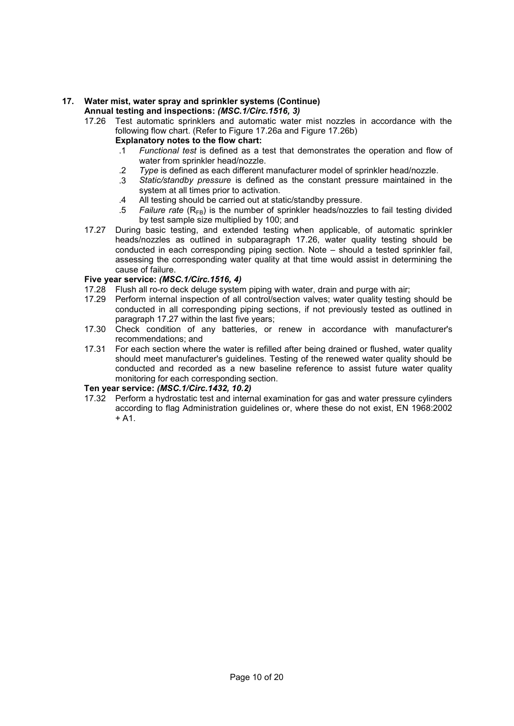#### **17. Water mist, water spray and sprinkler systems (Continue) Annual testing and inspections:** *(MSC.1/Circ.1516, 3)*

- 17.26 Test automatic sprinklers and automatic water mist nozzles in accordance with the following flow chart. (Refer to Figure 17.26a and Figure 17.26b) **Explanatory notes to the flow chart:** 
	- .1 *Functional test* is defined as a test that demonstrates the operation and flow of
		- water from sprinkler head/nozzle.
	- .2 *Type* is defined as each different manufacturer model of sprinkler head/nozzle.
	- .3 *Static/standby pressure* is defined as the constant pressure maintained in the system at all times prior to activation.
	- .4 All testing should be carried out at static/standby pressure.
	- .5 *Failure rate* (R<sub>FB</sub>) is the number of sprinkler heads/nozzles to fail testing divided by test sample size multiplied by 100; and
- 17.27 During basic testing, and extended testing when applicable, of automatic sprinkler heads/nozzles as outlined in subparagraph 17.26, water quality testing should be conducted in each corresponding piping section. Note – should a tested sprinkler fail, assessing the corresponding water quality at that time would assist in determining the cause of failure.

## **Five year service:** *(MSC.1/Circ.1516, 4)*

- 17.28 Flush all ro-ro deck deluge system piping with water, drain and purge with air;<br>17.29 Perform internal inspection of all control/section valves; water quality testing
- Perform internal inspection of all control/section valves; water quality testing should be conducted in all corresponding piping sections, if not previously tested as outlined in paragraph 17.27 within the last five years;
- 17.30 Check condition of any batteries, or renew in accordance with manufacturer's recommendations; and
- 17.31 For each section where the water is refilled after being drained or flushed, water quality should meet manufacturer's guidelines. Testing of the renewed water quality should be conducted and recorded as a new baseline reference to assist future water quality monitoring for each corresponding section.

# **Ten year service:** *(MSC.1/Circ.1432, 10.2)*

17.32 Perform a hydrostatic test and internal examination for gas and water pressure cylinders according to flag Administration guidelines or, where these do not exist, EN 1968:2002  $+ A1.$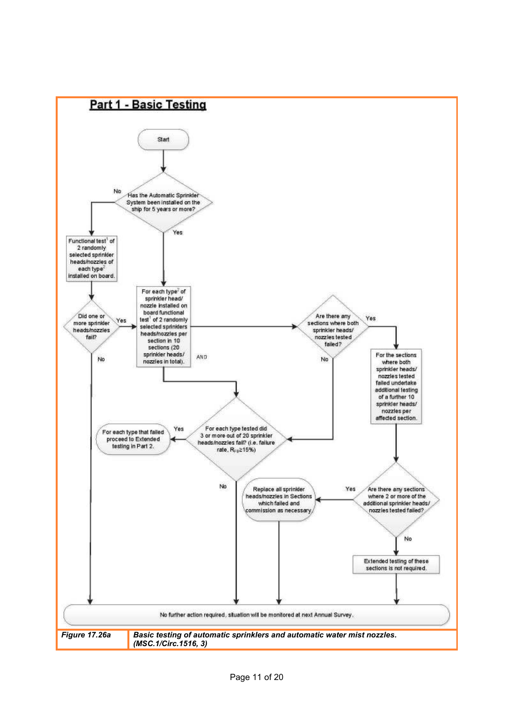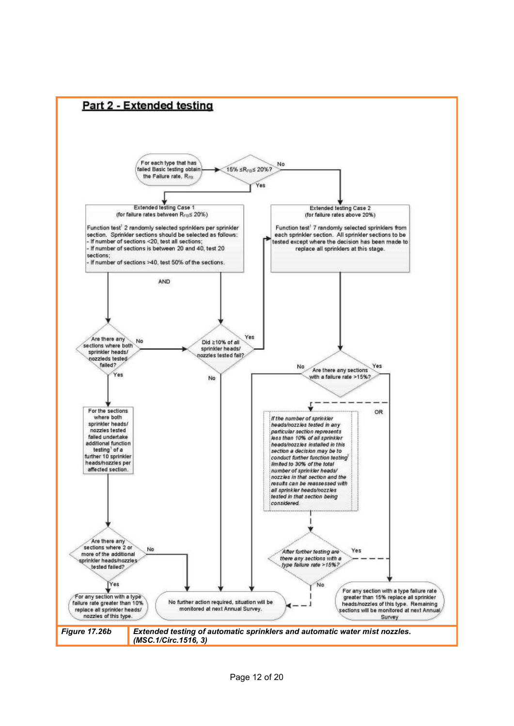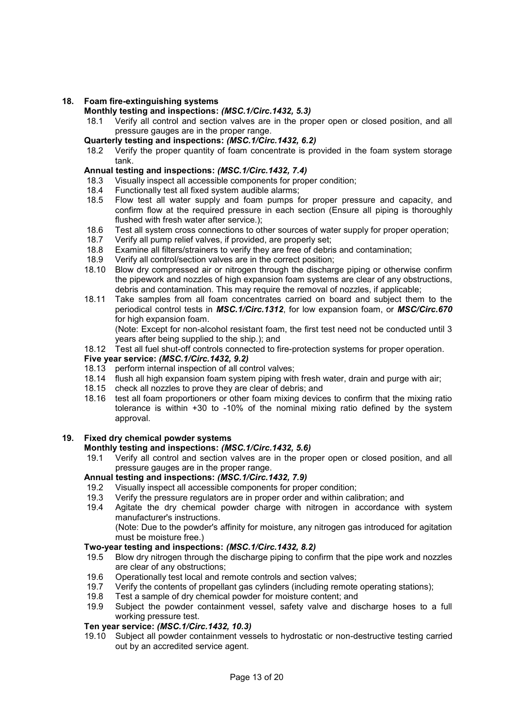#### **18. Foam fire-extinguishing systems**

#### **Monthly testing and inspections:** *(MSC.1/Circ.1432, 5.3)*

- 18.1 Verify all control and section valves are in the proper open or closed position, and all pressure gauges are in the proper range.
- **Quarterly testing and inspections:** *(MSC.1/Circ.1432, 6.2)*
- 18.2 Verify the proper quantity of foam concentrate is provided in the foam system storage tank.

#### **Annual testing and inspections:** *(MSC.1/Circ.1432, 7.4)*

- 18.3 Visually inspect all accessible components for proper condition;
- 18.4 Functionally test all fixed system audible alarms;<br>18.5 Flow test all water supply and foam pumps f
- Flow test all water supply and foam pumps for proper pressure and capacity, and confirm flow at the required pressure in each section (Ensure all piping is thoroughly flushed with fresh water after service.);
- 18.6 Test all system cross connections to other sources of water supply for proper operation;
- 18.7 Verify all pump relief valves, if provided, are properly set;
- 18.8 Examine all filters/strainers to verify they are free of debris and contamination;<br>18.9 Verify all control/section valves are in the correct position:
- Verify all control/section valves are in the correct position;
- 18.10 Blow dry compressed air or nitrogen through the discharge piping or otherwise confirm the pipework and nozzles of high expansion foam systems are clear of any obstructions, debris and contamination. This may require the removal of nozzles, if applicable;
- 18.11 Take samples from all foam concentrates carried on board and subject them to the periodical control tests in *MSC.1/Circ.1312*, for low expansion foam, or *MSC/Circ.670* for high expansion foam.

(Note: Except for non-alcohol resistant foam, the first test need not be conducted until 3 years after being supplied to the ship.); and

18.12 Test all fuel shut-off controls connected to fire-protection systems for proper operation.

#### **Five year service:** *(MSC.1/Circ.1432, 9.2)*

- 18.13 perform internal inspection of all control valves;
- 18.14 flush all high expansion foam system piping with fresh water, drain and purge with air;
- 18.15 check all nozzles to prove they are clear of debris; and
- 18.16 test all foam proportioners or other foam mixing devices to confirm that the mixing ratio tolerance is within +30 to -10% of the nominal mixing ratio defined by the system approval.

#### **19. Fixed dry chemical powder systems**

#### **Monthly testing and inspections:** *(MSC.1/Circ.1432, 5.6)*

19.1 Verify all control and section valves are in the proper open or closed position, and all pressure gauges are in the proper range.

## **Annual testing and inspections:** *(MSC.1/Circ.1432, 7.9)*

- 19.2 Visually inspect all accessible components for proper condition;
- 19.3 Verify the pressure regulators are in proper order and within calibration; and
- 19.4 Agitate the dry chemical powder charge with nitrogen in accordance with system manufacturer's instructions. (Note: Due to the powder's affinity for moisture, any nitrogen gas introduced for agitation must be moisture free.)

#### **Two-year testing and inspections:** *(MSC.1/Circ.1432, 8.2)*

- 19.5 Blow dry nitrogen through the discharge piping to confirm that the pipe work and nozzles are clear of any obstructions;
- 19.6 Operationally test local and remote controls and section valves;
- 19.7 Verify the contents of propellant gas cylinders (including remote operating stations);<br>19.8 Test a sample of dry chemical powder for moisture content: and
- Test a sample of dry chemical powder for moisture content; and
- 19.9 Subject the powder containment vessel, safety valve and discharge hoses to a full working pressure test.

#### **Ten year service:** *(MSC.1/Circ.1432, 10.3)*

19.10 Subject all powder containment vessels to hydrostatic or non-destructive testing carried out by an accredited service agent.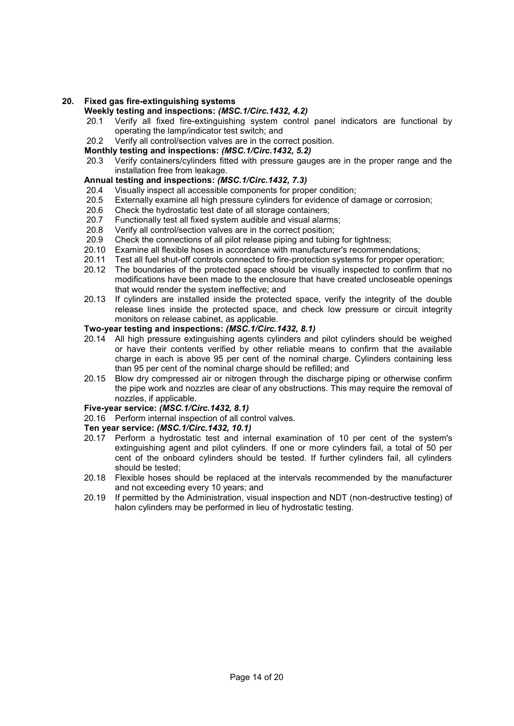#### **20. Fixed gas fire-extinguishing systems**

# **Weekly testing and inspections:** *(MSC.1/Circ.1432, 4.2)*

- 20.1 Verify all fixed fire-extinguishing system control panel indicators are functional by operating the lamp/indicator test switch; and
- 20.2 Verify all control/section valves are in the correct position.

#### **Monthly testing and inspections:** *(MSC.1/Circ.1432, 5.2)*

20.3 Verify containers/cylinders fitted with pressure gauges are in the proper range and the installation free from leakage.

# **Annual testing and inspections:** *(MSC.1/Circ.1432, 7.3)*

- 20.4 Visually inspect all accessible components for proper condition;
- 20.5 Externally examine all high pressure cylinders for evidence of damage or corrosion;
- 20.6 Check the hydrostatic test date of all storage containers;
- 20.7 Functionally test all fixed system audible and visual alarms;
- 
- 20.8 Verify all control/section valves are in the correct position;<br>20.9 Check the connections of all pilot release piping and tubing Check the connections of all pilot release piping and tubing for tightness;
- 20.10 Examine all flexible hoses in accordance with manufacturer's recommendations;
- 20.11 Test all fuel shut-off controls connected to fire-protection systems for proper operation;
- 20.12 The boundaries of the protected space should be visually inspected to confirm that no modifications have been made to the enclosure that have created uncloseable openings that would render the system ineffective; and
- 20.13 If cylinders are installed inside the protected space, verify the integrity of the double release lines inside the protected space, and check low pressure or circuit integrity monitors on release cabinet, as applicable.

#### **Two-year testing and inspections:** *(MSC.1/Circ.1432, 8.1)*

- 20.14 All high pressure extinguishing agents cylinders and pilot cylinders should be weighed or have their contents verified by other reliable means to confirm that the available charge in each is above 95 per cent of the nominal charge. Cylinders containing less than 95 per cent of the nominal charge should be refilled; and
- 20.15 Blow dry compressed air or nitrogen through the discharge piping or otherwise confirm the pipe work and nozzles are clear of any obstructions. This may require the removal of nozzles, if applicable.

#### **Five-year service:** *(MSC.1/Circ.1432, 8.1)*

20.16 Perform internal inspection of all control valves.

#### **Ten year service:** *(MSC.1/Circ.1432, 10.1)*

- 20.17 Perform a hydrostatic test and internal examination of 10 per cent of the system's extinguishing agent and pilot cylinders. If one or more cylinders fail, a total of 50 per cent of the onboard cylinders should be tested. If further cylinders fail, all cylinders should be tested;
- 20.18 Flexible hoses should be replaced at the intervals recommended by the manufacturer and not exceeding every 10 years; and
- 20.19 If permitted by the Administration, visual inspection and NDT (non-destructive testing) of halon cylinders may be performed in lieu of hydrostatic testing.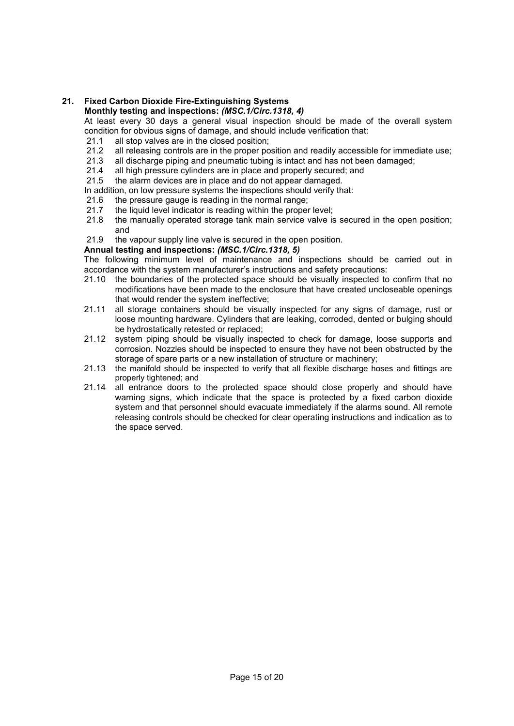# **21. Fixed Carbon Dioxide Fire-Extinguishing Systems**

# **Monthly testing and inspections:** *(MSC.1/Circ.1318, 4)*

At least every 30 days a general visual inspection should be made of the overall system condition for obvious signs of damage, and should include verification that:

- 21.1 all stop valves are in the closed position;
- 21.2 all releasing controls are in the proper position and readily accessible for immediate use;
- 21.3 all discharge piping and pneumatic tubing is intact and has not been damaged;<br>21.4 all high pressure cylinders are in place and properly secured: and
- all high pressure cylinders are in place and properly secured; and
- 21.5 the alarm devices are in place and do not appear damaged.
- In addition, on low pressure systems the inspections should verify that:
- 21.6 the pressure gauge is reading in the normal range;
- 21.7 the liquid level indicator is reading within the proper level;
- 21.8 the manually operated storage tank main service valve is secured in the open position; and
- 21.9 the vapour supply line valve is secured in the open position.

#### **Annual testing and inspections:** *(MSC.1/Circ.1318, 5)*

The following minimum level of maintenance and inspections should be carried out in accordance with the system manufacturer's instructions and safety precautions:

- 21.10 the boundaries of the protected space should be visually inspected to confirm that no modifications have been made to the enclosure that have created uncloseable openings that would render the system ineffective;
- 21.11 all storage containers should be visually inspected for any signs of damage, rust or loose mounting hardware. Cylinders that are leaking, corroded, dented or bulging should be hydrostatically retested or replaced;
- 21.12 system piping should be visually inspected to check for damage, loose supports and corrosion. Nozzles should be inspected to ensure they have not been obstructed by the storage of spare parts or a new installation of structure or machinery;
- 21.13 the manifold should be inspected to verify that all flexible discharge hoses and fittings are properly tightened; and
- 21.14 all entrance doors to the protected space should close properly and should have warning signs, which indicate that the space is protected by a fixed carbon dioxide system and that personnel should evacuate immediately if the alarms sound. All remote releasing controls should be checked for clear operating instructions and indication as to the space served.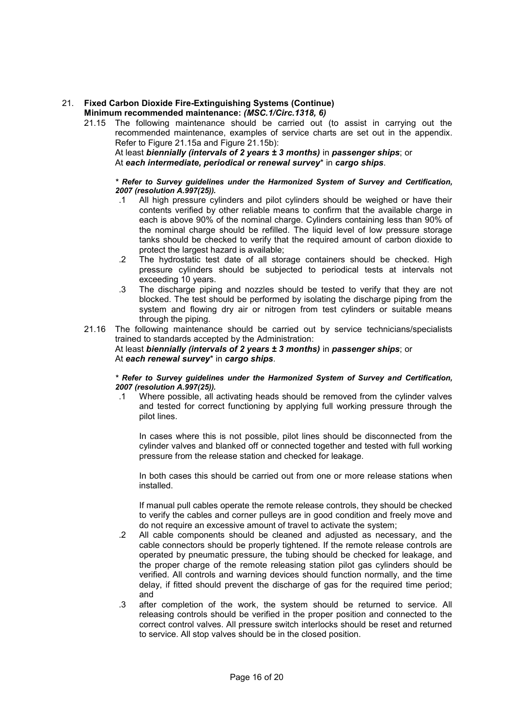#### 21. **Fixed Carbon Dioxide Fire-Extinguishing Systems (Continue) Minimum recommended maintenance:** *(MSC.1/Circ.1318, 6)*

21.15 The following maintenance should be carried out (to assist in carrying out the recommended maintenance, examples of service charts are set out in the appendix. Refer to Figure 21.15a and Figure 21.15b):

At least *biennially (intervals of 2 years ± 3 months)* in *passenger ships*; or At *each intermediate, periodical or renewal survey*\* in *cargo ships*.

#### *\* Refer to Survey guidelines under the Harmonized System of Survey and Certification, 2007 (resolution A.997(25)).*

- .1 All high pressure cylinders and pilot cylinders should be weighed or have their contents verified by other reliable means to confirm that the available charge in each is above 90% of the nominal charge. Cylinders containing less than 90% of the nominal charge should be refilled. The liquid level of low pressure storage tanks should be checked to verify that the required amount of carbon dioxide to protect the largest hazard is available;
- .2 The hydrostatic test date of all storage containers should be checked. High pressure cylinders should be subjected to periodical tests at intervals not exceeding 10 years.
- .3 The discharge piping and nozzles should be tested to verify that they are not blocked. The test should be performed by isolating the discharge piping from the system and flowing dry air or nitrogen from test cylinders or suitable means through the piping.
- 21.16 The following maintenance should be carried out by service technicians/specialists trained to standards accepted by the Administration:

#### At least *biennially (intervals of 2 years ± 3 months)* in *passenger ships*; or At *each renewal survey*\* in *cargo ships*.

#### *\* Refer to Survey guidelines under the Harmonized System of Survey and Certification, 2007 (resolution A.997(25)).*

.1 Where possible, all activating heads should be removed from the cylinder valves and tested for correct functioning by applying full working pressure through the pilot lines.

In cases where this is not possible, pilot lines should be disconnected from the cylinder valves and blanked off or connected together and tested with full working pressure from the release station and checked for leakage.

In both cases this should be carried out from one or more release stations when installed.

If manual pull cables operate the remote release controls, they should be checked to verify the cables and corner pulleys are in good condition and freely move and do not require an excessive amount of travel to activate the system;

- .2 All cable components should be cleaned and adjusted as necessary, and the cable connectors should be properly tightened. If the remote release controls are operated by pneumatic pressure, the tubing should be checked for leakage, and the proper charge of the remote releasing station pilot gas cylinders should be verified. All controls and warning devices should function normally, and the time delay, if fitted should prevent the discharge of gas for the required time period; and
- .3 after completion of the work, the system should be returned to service. All releasing controls should be verified in the proper position and connected to the correct control valves. All pressure switch interlocks should be reset and returned to service. All stop valves should be in the closed position.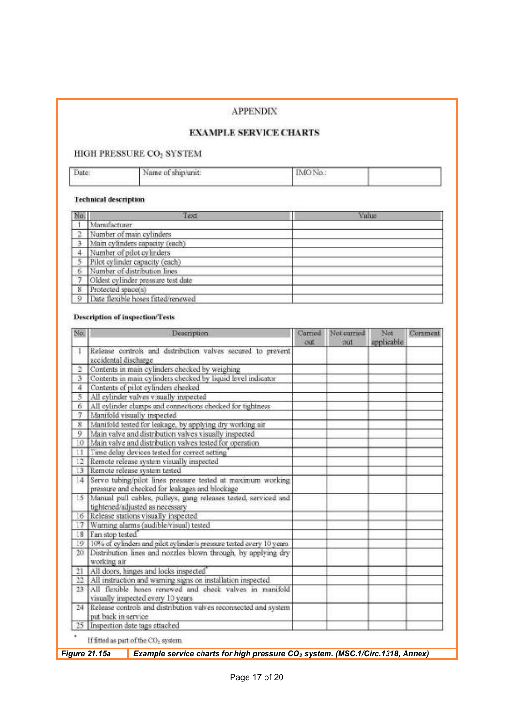# **APPENDIX**

# **EXAMPLE SERVICE CHARTS**

# HIGH PRESSURE CO2 SYSTEM

| Date: | Name of ship/unit: | IMO No. |
|-------|--------------------|---------|
|       |                    |         |

# **Technical description**

| No             | Text                               | Value |
|----------------|------------------------------------|-------|
|                | Manufacturer                       |       |
| $\mathcal{L}$  | Number of main cylinders           |       |
|                | Main cylinders capacity (each)     |       |
|                | Number of pilot cylinders          |       |
| 15             | Pilot cylinder capacity (each)     |       |
| -6             | Number of distribution lines       |       |
| -7             | Oldest cylinder pressure test date |       |
| 8              | Protected space(s)                 |       |
| $\overline{9}$ | Date flexible hoses fitted/renewed |       |

## **Description of inspection/Tests**

| No.             |                                                                                              | Description                                                                                                      | Carried<br>out | Not carried<br>cut | Not<br>applicable | Comment |
|-----------------|----------------------------------------------------------------------------------------------|------------------------------------------------------------------------------------------------------------------|----------------|--------------------|-------------------|---------|
| 1               | accidental discharge                                                                         | Release controls and distribution valves secured to prevent                                                      |                |                    |                   |         |
| $\overline{2}$  | Contents in main cylinders checked by weighing                                               |                                                                                                                  |                |                    |                   |         |
| 3               |                                                                                              | Contents in main cylinders checked by liquid level indicator                                                     |                |                    |                   |         |
| 4               | Contents of pilot cylinders checked                                                          |                                                                                                                  |                |                    |                   |         |
| 5               |                                                                                              | All cylinder valves visually inspected                                                                           |                |                    |                   |         |
| 6               |                                                                                              | All cylinder clamps and connections checked for tightness                                                        |                |                    |                   |         |
| 7               |                                                                                              | Manifold visually inspected                                                                                      |                |                    |                   |         |
| $\overline{8}$  |                                                                                              | Manifold tested for leakage, by applying dry working air                                                         |                |                    |                   |         |
| 9.              |                                                                                              | Main valve and distribution valves visually inspected                                                            |                |                    |                   |         |
| 10              |                                                                                              | Main valve and distribution valves tested for operation                                                          |                |                    |                   |         |
| 11              |                                                                                              | Time delay devices tested for correct setting                                                                    |                |                    |                   |         |
|                 |                                                                                              | 12 Remote release system visually inspected                                                                      |                |                    |                   |         |
| 13              |                                                                                              | Remote release system tested                                                                                     |                |                    |                   |         |
|                 |                                                                                              | 14 Servo tubing/pilot lines pressure tested at maximum working<br>pressure and checked for leakages and blockage |                |                    |                   |         |
|                 |                                                                                              | 15 Manual pull cables, pulleys, gang releases tested, serviced and<br>tightened/adjusted as necessary            |                |                    |                   |         |
|                 |                                                                                              | 16 Release stations visually inspected                                                                           |                |                    |                   |         |
| 17              | Warning alarms (audible/visual) tested<br>18 Fan stop tested                                 |                                                                                                                  |                |                    |                   |         |
|                 |                                                                                              |                                                                                                                  |                |                    |                   |         |
| 19              |                                                                                              | 10% of cylinders and pilot cylinder's pressure tested every 10 years                                             |                |                    |                   |         |
| 20 <sub>1</sub> | Distribution lines and nozzles blown through, by applying dry<br>working air                 |                                                                                                                  |                |                    |                   |         |
| $_{21}$         |                                                                                              | All doors, hinges and locks inspected                                                                            |                |                    |                   |         |
| 22              |                                                                                              | All instruction and warning signs on installation inspected                                                      |                |                    |                   |         |
| 23              | All flexible hoses renewed and check valves in manifold<br>visually inspected every 10 years |                                                                                                                  |                |                    |                   |         |
|                 | 24 Release controls and distribution valves reconnected and system<br>put back in service    |                                                                                                                  |                |                    |                   |         |
|                 |                                                                                              | 25 Inspection date tags attached                                                                                 |                |                    |                   |         |
| ٠               |                                                                                              | If fitted as part of the CO <sub>2</sub> system.                                                                 |                |                    |                   |         |
|                 | Figure 21.15a                                                                                |                                                                                                                  |                |                    |                   |         |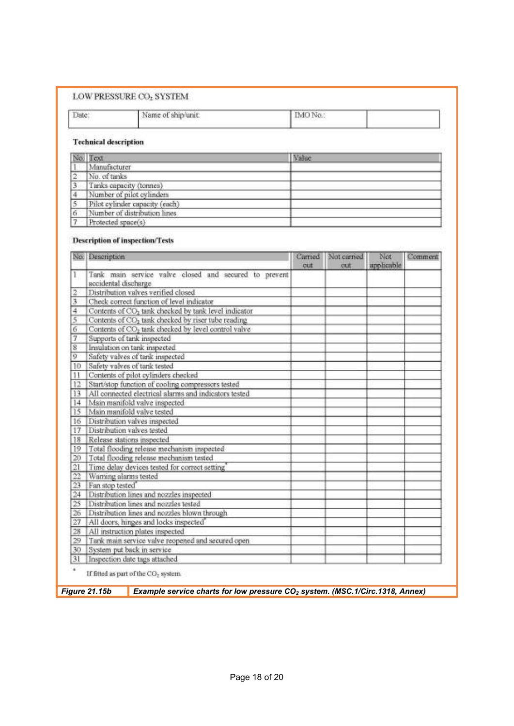## LOW PRESSURE  $CO_2$  SYSTEM

T

#### T.  $\Gamma$  is  $\sim$

| anc | Name of ship/unit; | - 1 |  |
|-----|--------------------|-----|--|
|     |                    |     |  |

## **Technical description**

|                | No. Text                       | Value |
|----------------|--------------------------------|-------|
|                | Manufacturer                   |       |
| $\overline{2}$ | No. of tanks                   |       |
| 3.             | Tanks capacity (tonnes)        |       |
|                | Number of pilot cylinders      |       |
|                | Pilot cylinder capacity (each) |       |
| 6              | Number of distribution lines   |       |
|                | Protected space(s)             |       |

#### **Description of inspection/Tests**

|                 | No. Description                                                               |  | Not carried<br>ciut | Not<br>applicable | Comment |
|-----------------|-------------------------------------------------------------------------------|--|---------------------|-------------------|---------|
| τ.              | Tank main service valve closed and secured to prevent<br>accidental discharge |  |                     |                   |         |
| 2               | Distribution valves verified closed                                           |  |                     |                   |         |
| 3               | Check correct function of level indicator                                     |  |                     |                   |         |
| 4               | Contents of CO <sub>2</sub> tank checked by tank level indicator              |  |                     |                   |         |
| 5               | Contents of CO <sub>2</sub> tank checked by riser tube reading                |  |                     |                   |         |
| 6               | Contents of CO2 tank checked by level control valve                           |  |                     |                   |         |
| 7               | Supports of tank inspected                                                    |  |                     |                   |         |
| 8               | Insulation on tank inspected                                                  |  |                     |                   |         |
| 9               | Safety valves of tank inspected                                               |  |                     |                   |         |
| 10              | Safety valves of tank tested                                                  |  |                     |                   |         |
| 11              | Contents of pilot cylinders checked                                           |  |                     |                   |         |
| 12              | Start/stop function of cooling compressors tested                             |  |                     |                   |         |
| 13              | All connected electrical alarms and indicators tested                         |  |                     |                   |         |
| 4               | Main manifold valve inspected                                                 |  |                     |                   |         |
| 15              | Main manifold valve tested                                                    |  |                     |                   |         |
| 16              | Distribution valves inspected                                                 |  |                     |                   |         |
| 17              | Distribution valves tested                                                    |  |                     |                   |         |
| $^{18}$         | Release stations inspected.                                                   |  |                     |                   |         |
| 19              | Total flooding release mechanism inspected                                    |  |                     |                   |         |
| 20              | Total flooding release mechanism tested                                       |  |                     |                   |         |
| 21              | Time delay devices tested for correct setting                                 |  |                     |                   |         |
| 22              | Warning alarms tested                                                         |  |                     |                   |         |
| 23              | Fan stop tested"                                                              |  |                     |                   |         |
| $\overline{24}$ | Distribution lines and nozzles inspected                                      |  |                     |                   |         |
| 25              | Distribution lines and nozzles tested                                         |  |                     |                   |         |
| 26              | Distribution lines and nozzles blown through                                  |  |                     |                   |         |
| 27              | All doors, hinges and locks inspected                                         |  |                     |                   |         |
| 28              | All instruction plates inspected                                              |  |                     |                   |         |
| 29              | Tank main service valve reopened and secured open                             |  |                     |                   |         |
| 30              | System put back in service                                                    |  |                     |                   |         |
| 31              | Inspection date tags attached                                                 |  |                     |                   |         |

*Figure 21.15b Example service charts for low pressure CO<sup>2</sup> system. (MSC.1/Circ.1318, Annex)*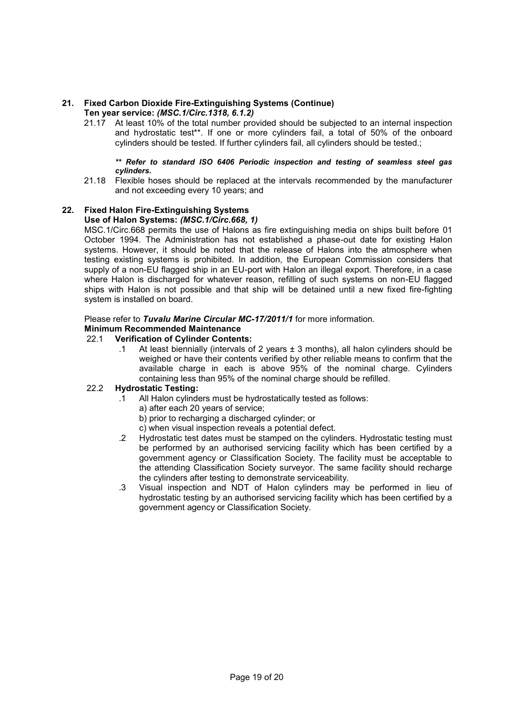#### **21. Fixed Carbon Dioxide Fire-Extinguishing Systems (Continue) Ten year service:** *(MSC.1/Circ.1318, 6.1.2)*

21.17 At least 10% of the total number provided should be subjected to an internal inspection and hydrostatic test\*\*. If one or more cylinders fail, a total of 50% of the onboard cylinders should be tested. If further cylinders fail, all cylinders should be tested.;

#### *\*\* Refer to standard ISO 6406 Periodic inspection and testing of seamless steel gas cylinders.*

21.18 Flexible hoses should be replaced at the intervals recommended by the manufacturer and not exceeding every 10 years; and

# **22. Fixed Halon Fire-Extinguishing Systems**

#### **Use of Halon Systems:** *(MSC.1/Circ.668, 1)*

MSC.1/Circ.668 permits the use of Halons as fire extinguishing media on ships built before 01 October 1994. The Administration has not established a phase-out date for existing Halon systems. However, it should be noted that the release of Halons into the atmosphere when testing existing systems is prohibited. In addition, the European Commission considers that supply of a non-EU flagged ship in an EU-port with Halon an illegal export. Therefore, in a case where Halon is discharged for whatever reason, refilling of such systems on non-EU flagged ships with Halon is not possible and that ship will be detained until a new fixed fire-fighting system is installed on board.

## Please refer to *Tuvalu Marine Circular MC-17/2011/1* for more information.

#### **Minimum Recommended Maintenance**

## 22.1 **Verification of Cylinder Contents:**

.1 At least biennially (intervals of 2 years ± 3 months), all halon cylinders should be weighed or have their contents verified by other reliable means to confirm that the available charge in each is above 95% of the nominal charge. Cylinders containing less than 95% of the nominal charge should be refilled.

#### 22.2 **Hydrostatic Testing:**

- .1 All Halon cylinders must be hydrostatically tested as follows:
	- a) after each 20 years of service;
	- b) prior to recharging a discharged cylinder; or
	- c) when visual inspection reveals a potential defect.
- .2 Hydrostatic test dates must be stamped on the cylinders. Hydrostatic testing must be performed by an authorised servicing facility which has been certified by a government agency or Classification Society. The facility must be acceptable to the attending Classification Society surveyor. The same facility should recharge the cylinders after testing to demonstrate serviceability.
- .3 Visual inspection and NDT of Halon cylinders may be performed in lieu of hydrostatic testing by an authorised servicing facility which has been certified by a government agency or Classification Society.